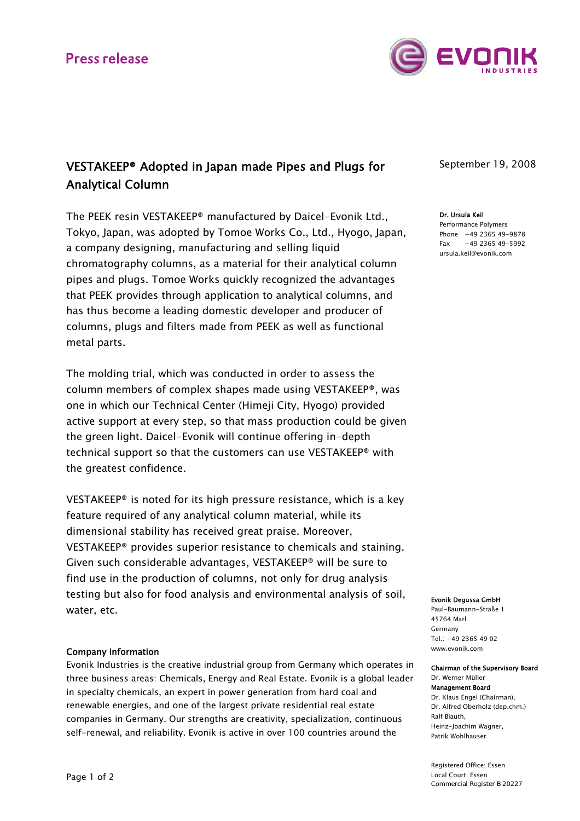

# VESTAKEEP® Adopted in Japan made Pipes and Plugs for Analytical Column

The PEEK resin VESTAKEEP® manufactured by Daicel-Evonik Ltd., Tokyo, Japan, was adopted by Tomoe Works Co., Ltd., Hyogo, Japan, a company designing, manufacturing and selling liquid chromatography columns, as a material for their analytical column pipes and plugs. Tomoe Works quickly recognized the advantages that PEEK provides through application to analytical columns, and has thus become a leading domestic developer and producer of columns, plugs and filters made from PEEK as well as functional metal parts.

The molding trial, which was conducted in order to assess the column members of complex shapes made using VESTAKEEP®, was one in which our Technical Center (Himeji City, Hyogo) provided active support at every step, so that mass production could be given the green light. Daicel-Evonik will continue offering in-depth technical support so that the customers can use VESTAKEEP® with the greatest confidence.

VESTAKEEP® is noted for its high pressure resistance, which is a key feature required of any analytical column material, while its dimensional stability has received great praise. Moreover, VESTAKEEP® provides superior resistance to chemicals and staining. Given such considerable advantages, VESTAKEEP® will be sure to find use in the production of columns, not only for drug analysis testing but also for food analysis and environmental analysis of soil, water, etc.

## Company information

Evonik Industries is the creative industrial group from Germany which operates in three business areas: Chemicals, Energy and Real Estate. Evonik is a global leader in specialty chemicals, an expert in power generation from hard coal and renewable energies, and one of the largest private residential real estate companies in Germany. Our strengths are creativity, specialization, continuous self-renewal, and reliability. Evonik is active in over 100 countries around the

## September 19, 2008

#### Dr. Ursula Keil Performance Polymers Phone +49 2365 49-9878 Fax +49 2365 49-5992 ursula.keil@evonik.com

### Evonik Degussa GmbH

Paul-Baumann-Straße 1 45764 Marl Germany  $Tel: +49.2365.49.02$ www.evonik.com

### Chairman of the Supervisory Board Dr. Werner Müller

Management Board Dr. Klaus Engel (Chairman), Dr. Alfred Oberholz (dep.chm.) Ralf Blauth, Heinz-Joachim Wagner, Patrik Wohlhauser

Registered Office: Essen Local Court: Essen Commercial Register B 20227